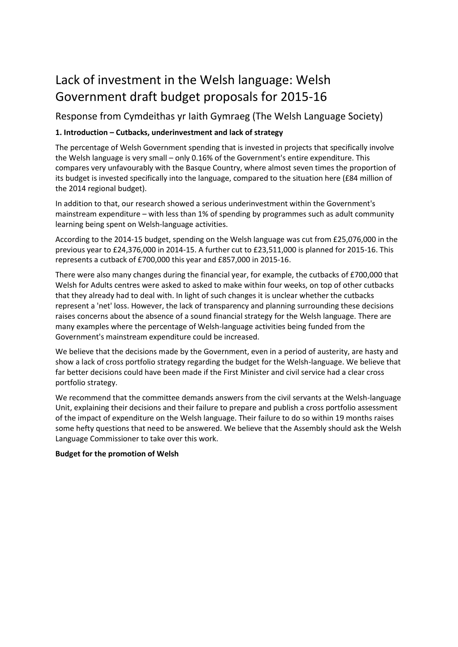# Lack of investment in the Welsh language: Welsh Government draft budget proposals for 2015-16

Response from Cymdeithas yr Iaith Gymraeg (The Welsh Language Society)

## **1. Introduction – Cutbacks, underinvestment and lack of strategy**

The percentage of Welsh Government spending that is invested in projects that specifically involve the Welsh language is very small – only 0.16% of the Government's entire expenditure. This compares very unfavourably with the Basque Country, where almost seven times the proportion of its budget is invested specifically into the language, compared to the situation here (£84 million of the 2014 regional budget).

In addition to that, our research showed a serious underinvestment within the Government's mainstream expenditure – with less than 1% of spending by programmes such as adult community learning being spent on Welsh-language activities.

According to the 2014-15 budget, spending on the Welsh language was cut from £25,076,000 in the previous year to £24,376,000 in 2014-15. A further cut to £23,511,000 is planned for 2015-16. This represents a cutback of £700,000 this year and £857,000 in 2015-16.

There were also many changes during the financial year, for example, the cutbacks of £700,000 that Welsh for Adults centres were asked to asked to make within four weeks, on top of other cutbacks that they already had to deal with. In light of such changes it is unclear whether the cutbacks represent a 'net' loss. However, the lack of transparency and planning surrounding these decisions raises concerns about the absence of a sound financial strategy for the Welsh language. There are many examples where the percentage of Welsh-language activities being funded from the Government's mainstream expenditure could be increased.

We believe that the decisions made by the Government, even in a period of austerity, are hasty and show a lack of cross portfolio strategy regarding the budget for the Welsh-language. We believe that far better decisions could have been made if the First Minister and civil service had a clear cross portfolio strategy.

We recommend that the committee demands answers from the civil servants at the Welsh-language Unit, explaining their decisions and their failure to prepare and publish a cross portfolio assessment of the impact of expenditure on the Welsh language. Their failure to do so within 19 months raises some hefty questions that need to be answered. We believe that the Assembly should ask the Welsh Language Commissioner to take over this work.

### **Budget for the promotion of Welsh**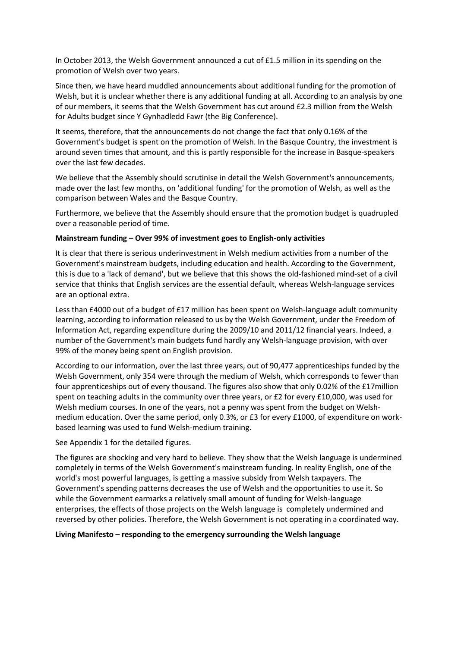In October 2013, the Welsh Government announced a cut of £1.5 million in its spending on the promotion of Welsh over two years.

Since then, we have heard muddled announcements about additional funding for the promotion of Welsh, but it is unclear whether there is any additional funding at all. According to an analysis by one of our members, it seems that the Welsh Government has cut around £2.3 million from the Welsh for Adults budget since Y Gynhadledd Fawr (the Big Conference).

It seems, therefore, that the announcements do not change the fact that only 0.16% of the Government's budget is spent on the promotion of Welsh. In the Basque Country, the investment is around seven times that amount, and this is partly responsible for the increase in Basque-speakers over the last few decades.

We believe that the Assembly should scrutinise in detail the Welsh Government's announcements, made over the last few months, on 'additional funding' for the promotion of Welsh, as well as the comparison between Wales and the Basque Country.

Furthermore, we believe that the Assembly should ensure that the promotion budget is quadrupled over a reasonable period of time.

#### **Mainstream funding – Over 99% of investment goes to English-only activities**

It is clear that there is serious underinvestment in Welsh medium activities from a number of the Government's mainstream budgets, including education and health. According to the Government, this is due to a 'lack of demand', but we believe that this shows the old-fashioned mind-set of a civil service that thinks that English services are the essential default, whereas Welsh-language services are an optional extra.

Less than £4000 out of a budget of £17 million has been spent on Welsh-language adult community learning, according to information released to us by the Welsh Government, under the Freedom of Information Act, regarding expenditure during the 2009/10 and 2011/12 financial years. Indeed, a number of the Government's main budgets fund hardly any Welsh-language provision, with over 99% of the money being spent on English provision.

According to our information, over the last three years, out of 90,477 apprenticeships funded by the Welsh Government, only 354 were through the medium of Welsh, which corresponds to fewer than four apprenticeships out of every thousand. The figures also show that only 0.02% of the £17million spent on teaching adults in the community over three years, or £2 for every £10,000, was used for Welsh medium courses. In one of the years, not a penny was spent from the budget on Welshmedium education. Over the same period, only 0.3%, or £3 for every £1000, of expenditure on workbased learning was used to fund Welsh-medium training.

See Appendix 1 for the detailed figures.

The figures are shocking and very hard to believe. They show that the Welsh language is undermined completely in terms of the Welsh Government's mainstream funding. In reality English, one of the world's most powerful languages, is getting a massive subsidy from Welsh taxpayers. The Government's spending patterns decreases the use of Welsh and the opportunities to use it. So while the Government earmarks a relatively small amount of funding for Welsh-language enterprises, the effects of those projects on the Welsh language is completely undermined and reversed by other policies. Therefore, the Welsh Government is not operating in a coordinated way.

#### **Living Manifesto – responding to the emergency surrounding the Welsh language**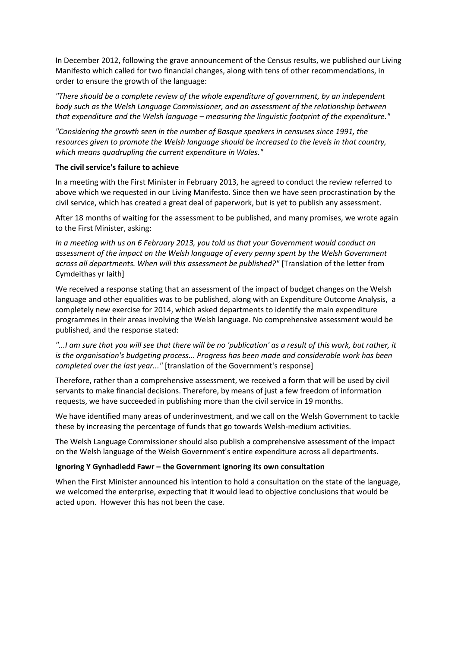In December 2012, following the grave announcement of the Census results, we published our Living Manifesto which called for two financial changes, along with tens of other recommendations, in order to ensure the growth of the language:

*"There should be a complete review of the whole expenditure of government, by an independent body such as the Welsh Language Commissioner, and an assessment of the relationship between that expenditure and the Welsh language – measuring the linguistic footprint of the expenditure."* 

*"Considering the growth seen in the number of Basque speakers in censuses since 1991, the resources given to promote the Welsh language should be increased to the levels in that country, which means quadrupling the current expenditure in Wales."* 

#### **The civil service's failure to achieve**

In a meeting with the First Minister in February 2013, he agreed to conduct the review referred to above which we requested in our Living Manifesto. Since then we have seen procrastination by the civil service, which has created a great deal of paperwork, but is yet to publish any assessment.

After 18 months of waiting for the assessment to be published, and many promises, we wrote again to the First Minister, asking:

*In a meeting with us on 6 February 2013, you told us that your Government would conduct an assessment of the impact on the Welsh language of every penny spent by the Welsh Government across all departments. When will this assessment be published?"* [Translation of the letter from Cymdeithas yr Iaith]

We received a response stating that an assessment of the impact of budget changes on the Welsh language and other equalities was to be published, along with an Expenditure Outcome Analysis, a completely new exercise for 2014, which asked departments to identify the main expenditure programmes in their areas involving the Welsh language. No comprehensive assessment would be published, and the response stated:

*"...I am sure that you will see that there will be no 'publication' as a result of this work, but rather, it is the organisation's budgeting process... Progress has been made and considerable work has been completed over the last year..."* [translation of the Government's response]

Therefore, rather than a comprehensive assessment, we received a form that will be used by civil servants to make financial decisions. Therefore, by means of just a few freedom of information requests, we have succeeded in publishing more than the civil service in 19 months.

We have identified many areas of underinvestment, and we call on the Welsh Government to tackle these by increasing the percentage of funds that go towards Welsh-medium activities.

The Welsh Language Commissioner should also publish a comprehensive assessment of the impact on the Welsh language of the Welsh Government's entire expenditure across all departments.

#### **Ignoring Y Gynhadledd Fawr – the Government ignoring its own consultation**

When the First Minister announced his intention to hold a consultation on the state of the language, we welcomed the enterprise, expecting that it would lead to objective conclusions that would be acted upon. However this has not been the case.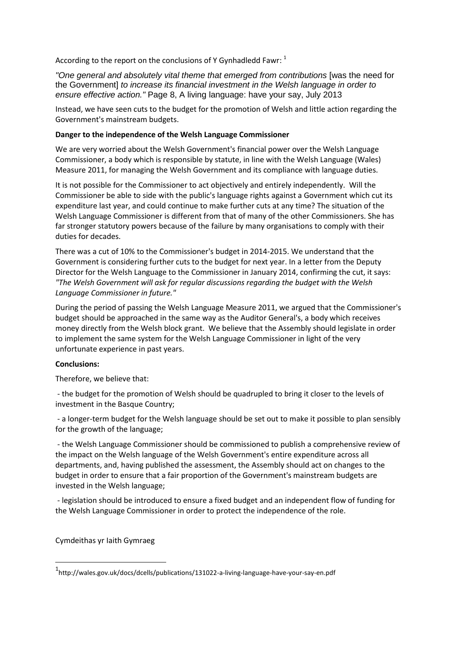According to the report on the conclusions of Y Gynhadledd Fawr:  $^1$ 

"One general and absolutely vital theme that emerged from contributions Iwas the need for the Government] *to increase its financial investment in the Welsh language in order to ensure effective action."* Page 8, A living language: have your say, July 2013

Instead, we have seen cuts to the budget for the promotion of Welsh and little action regarding the Government's mainstream budgets.

#### **Danger to the independence of the Welsh Language Commissioner**

We are very worried about the Welsh Government's financial power over the Welsh Language Commissioner, a body which is responsible by statute, in line with the Welsh Language (Wales) Measure 2011, for managing the Welsh Government and its compliance with language duties.

It is not possible for the Commissioner to act objectively and entirely independently. Will the Commissioner be able to side with the public's language rights against a Government which cut its expenditure last year, and could continue to make further cuts at any time? The situation of the Welsh Language Commissioner is different from that of many of the other Commissioners. She has far stronger statutory powers because of the failure by many organisations to comply with their duties for decades.

There was a cut of 10% to the Commissioner's budget in 2014-2015. We understand that the Government is considering further cuts to the budget for next year. In a letter from the Deputy Director for the Welsh Language to the Commissioner in January 2014, confirming the cut, it says: *"The Welsh Government will ask for regular discussions regarding the budget with the Welsh Language Commissioner in future."*

During the period of passing the Welsh Language Measure 2011, we argued that the Commissioner's budget should be approached in the same way as the Auditor General's, a body which receives money directly from the Welsh block grant. We believe that the Assembly should legislate in order to implement the same system for the Welsh Language Commissioner in light of the very unfortunate experience in past years.

#### **Conclusions:**

Therefore, we believe that:

- the budget for the promotion of Welsh should be quadrupled to bring it closer to the levels of investment in the Basque Country;

- a longer-term budget for the Welsh language should be set out to make it possible to plan sensibly for the growth of the language;

- the Welsh Language Commissioner should be commissioned to publish a comprehensive review of the impact on the Welsh language of the Welsh Government's entire expenditure across all departments, and, having published the assessment, the Assembly should act on changes to the budget in order to ensure that a fair proportion of the Government's mainstream budgets are invested in the Welsh language;

- legislation should be introduced to ensure a fixed budget and an independent flow of funding for the Welsh Language Commissioner in order to protect the independence of the role.

#### Cymdeithas yr Iaith Gymraeg

**.** 

<sup>1</sup> http://wales.gov.uk/docs/dcells/publications/131022-a-living-language-have-your-say-en.pdf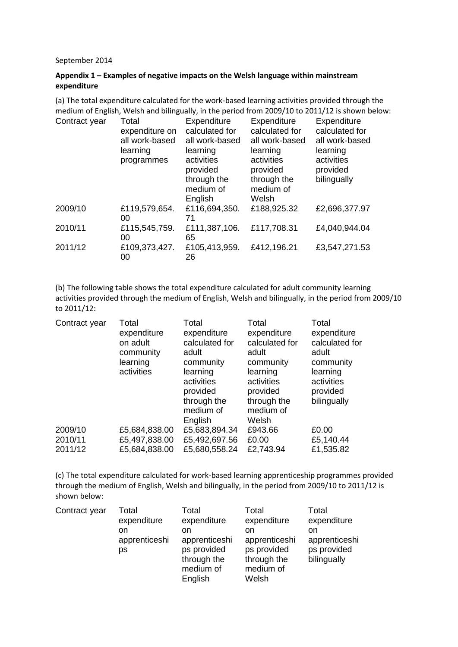#### September 2014

#### **Appendix 1 – Examples of negative impacts on the Welsh language within mainstream expenditure**

(a) The total expenditure calculated for the work-based learning activities provided through the medium of English, Welsh and bilingually, in the period from 2009/10 to 2011/12 is shown below:

| Contract year | Total<br>expenditure on<br>all work-based<br>learning<br>programmes | Expenditure<br>calculated for<br>all work-based<br>learning<br>activities<br>provided<br>through the<br>medium of<br>English | Expenditure<br>calculated for<br>all work-based<br>learning<br>activities<br>provided<br>through the<br>medium of<br>Welsh | Expenditure<br>calculated for<br>all work-based<br>learning<br>activities<br>provided<br>bilingually |
|---------------|---------------------------------------------------------------------|------------------------------------------------------------------------------------------------------------------------------|----------------------------------------------------------------------------------------------------------------------------|------------------------------------------------------------------------------------------------------|
| 2009/10       | £119,579,654.<br>00                                                 | £116,694,350.<br>71                                                                                                          | £188,925.32                                                                                                                | £2,696,377.97                                                                                        |
| 2010/11       | £115,545,759.<br>00                                                 | £111,387,106.<br>65                                                                                                          | £117,708.31                                                                                                                | £4,040,944.04                                                                                        |
| 2011/12       | £109,373,427.<br>00                                                 | £105,413,959.<br>26                                                                                                          | £412,196.21                                                                                                                | £3,547,271.53                                                                                        |

(b) The following table shows the total expenditure calculated for adult community learning activities provided through the medium of English, Welsh and bilingually, in the period from 2009/10 to 2011/12:

| Contract year | Total<br>expenditure<br>on adult<br>community<br>learning<br>activities | Total<br>expenditure<br>calculated for<br>adult<br>community<br>learning<br>activities<br>provided<br>through the<br>medium of<br>English | Total<br>expenditure<br>calculated for<br>adult<br>community<br>learning<br>activities<br>provided<br>through the<br>medium of<br>Welsh | Total<br>expenditure<br>calculated for<br>adult<br>community<br>learning<br>activities<br>provided<br>bilingually |
|---------------|-------------------------------------------------------------------------|-------------------------------------------------------------------------------------------------------------------------------------------|-----------------------------------------------------------------------------------------------------------------------------------------|-------------------------------------------------------------------------------------------------------------------|
| 2009/10       | £5,684,838.00                                                           | £5,683,894.34                                                                                                                             | £943.66                                                                                                                                 | £0.00                                                                                                             |
| 2010/11       | £5,497,838.00                                                           | £5,492,697.56                                                                                                                             | £0.00                                                                                                                                   | £5,140.44                                                                                                         |
| 2011/12       | £5,684,838.00                                                           | £5,680,558.24                                                                                                                             | £2,743.94                                                                                                                               | £1,535.82                                                                                                         |

(c) The total expenditure calculated for work-based learning apprenticeship programmes provided through the medium of English, Welsh and bilingually, in the period from 2009/10 to 2011/12 is shown below:

| Contract year | Total<br>expenditure<br>on<br>apprenticeshi<br>ps | Total<br>expenditure<br>on<br>apprenticeshi<br>ps provided<br>through the<br>medium of | Total<br>expenditure<br>on<br>apprenticeshi<br>ps provided<br>through the<br>medium of | Total<br>expenditure<br>on<br>apprenticeshi<br>ps provided<br>bilingually |
|---------------|---------------------------------------------------|----------------------------------------------------------------------------------------|----------------------------------------------------------------------------------------|---------------------------------------------------------------------------|
|               |                                                   | English                                                                                | Welsh                                                                                  |                                                                           |